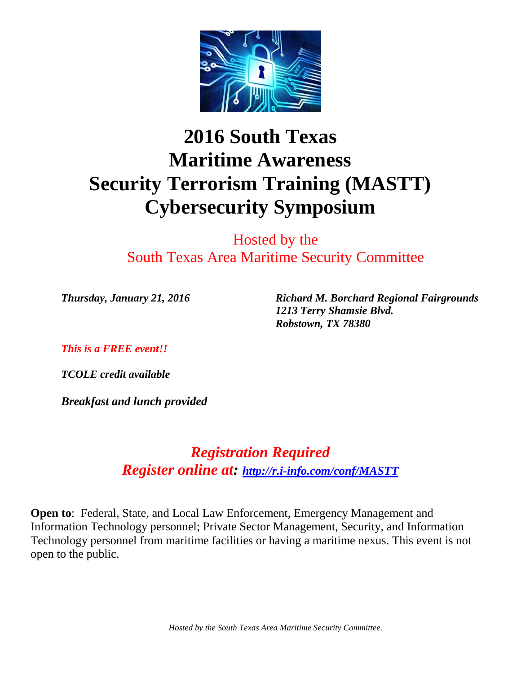

# **2016 South Texas Maritime Awareness Security Terrorism Training (MASTT) Cybersecurity Symposium**

Hosted by the South Texas Area Maritime Security Committee

*Thursday, January 21, 2016 Richard M. Borchard Regional Fairgrounds 1213 Terry Shamsie Blvd. Robstown, TX 78380*

*This is a FREE event!!*

*TCOLE credit available* 

*Breakfast and lunch provided*

*Registration Required Register online at: <http://r.i-info.com/conf/MASTT>*

**Open to**: Federal, State, and Local Law Enforcement, Emergency Management and Information Technology personnel; Private Sector Management, Security, and Information Technology personnel from maritime facilities or having a maritime nexus. This event is not open to the public.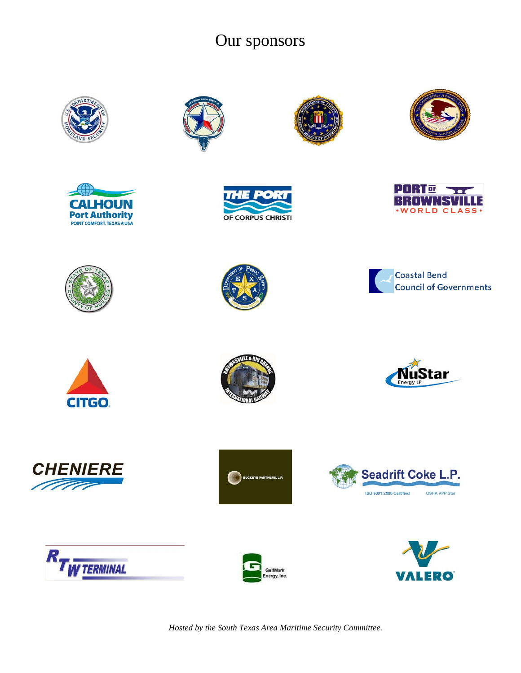# Our sponsors







































*Hosted by the South Texas Area Maritime Security Committee.*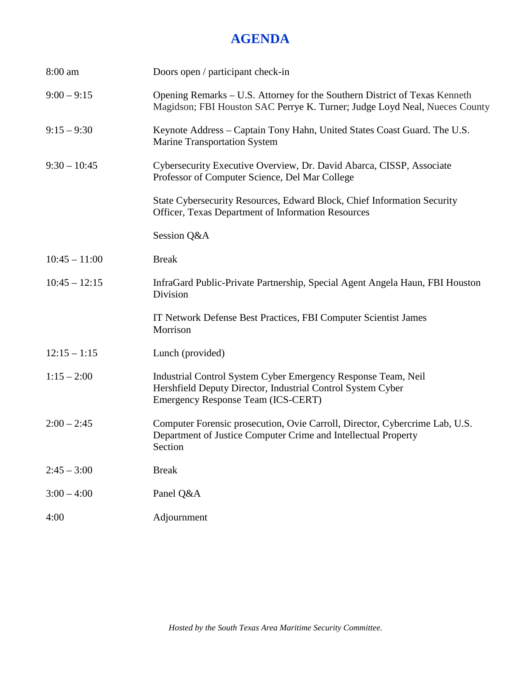# **AGENDA**

| 8:00 am         | Doors open / participant check-in                                                                                                                                  |
|-----------------|--------------------------------------------------------------------------------------------------------------------------------------------------------------------|
| $9:00 - 9:15$   | Opening Remarks – U.S. Attorney for the Southern District of Texas Kenneth<br>Magidson; FBI Houston SAC Perrye K. Turner; Judge Loyd Neal, Nueces County           |
| $9:15 - 9:30$   | Keynote Address – Captain Tony Hahn, United States Coast Guard. The U.S.<br><b>Marine Transportation System</b>                                                    |
| $9:30 - 10:45$  | Cybersecurity Executive Overview, Dr. David Abarca, CISSP, Associate<br>Professor of Computer Science, Del Mar College                                             |
|                 | State Cybersecurity Resources, Edward Block, Chief Information Security<br>Officer, Texas Department of Information Resources                                      |
|                 | Session Q&A                                                                                                                                                        |
| $10:45 - 11:00$ | <b>Break</b>                                                                                                                                                       |
| $10:45 - 12:15$ | InfraGard Public-Private Partnership, Special Agent Angela Haun, FBI Houston<br>Division                                                                           |
|                 | IT Network Defense Best Practices, FBI Computer Scientist James<br>Morrison                                                                                        |
| $12:15 - 1:15$  | Lunch (provided)                                                                                                                                                   |
| $1:15 - 2:00$   | Industrial Control System Cyber Emergency Response Team, Neil<br>Hershfield Deputy Director, Industrial Control System Cyber<br>Emergency Response Team (ICS-CERT) |
| $2:00 - 2:45$   | Computer Forensic prosecution, Ovie Carroll, Director, Cybercrime Lab, U.S.<br>Department of Justice Computer Crime and Intellectual Property<br>Section           |
| $2:45 - 3:00$   | <b>Break</b>                                                                                                                                                       |
| $3:00 - 4:00$   | Panel Q&A                                                                                                                                                          |
| 4:00            | Adjournment                                                                                                                                                        |
|                 |                                                                                                                                                                    |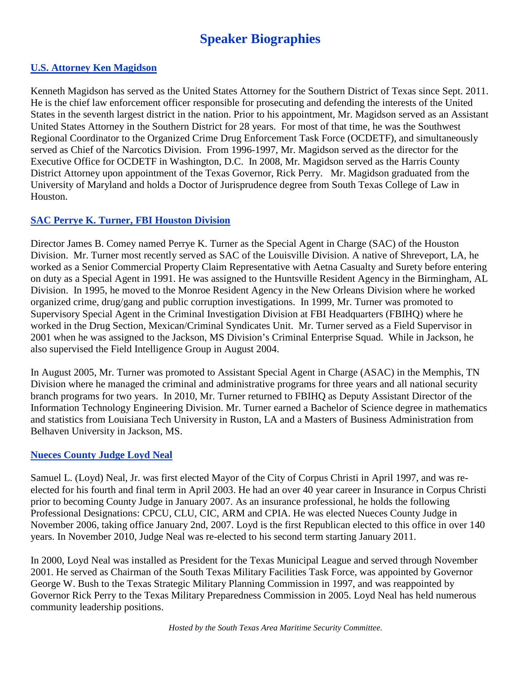# **Speaker Biographies**

#### **U.S. Attorney Ken Magidson**

Kenneth Magidson has served as the United States Attorney for the Southern District of Texas since Sept. 2011. He is the chief law enforcement officer responsible for prosecuting and defending the interests of the United States in the seventh largest district in the nation. Prior to his appointment, Mr. Magidson served as an Assistant United States Attorney in the Southern District for 28 years. For most of that time, he was the Southwest Regional Coordinator to the Organized Crime Drug Enforcement Task Force (OCDETF), and simultaneously served as Chief of the Narcotics Division. From 1996-1997, Mr. Magidson served as the director for the Executive Office for OCDETF in Washington, D.C. In 2008, Mr. Magidson served as the Harris County District Attorney upon appointment of the Texas Governor, Rick Perry. Mr. Magidson graduated from the University of Maryland and holds a Doctor of Jurisprudence degree from South Texas College of Law in Houston.

### **SAC Perrye K. Turner, FBI Houston Division**

Director James B. Comey named Perrye K. Turner as the Special Agent in Charge (SAC) of the Houston Division. Mr. Turner most recently served as SAC of the Louisville Division. A native of Shreveport, LA, he worked as a Senior Commercial Property Claim Representative with Aetna Casualty and Surety before entering on duty as a Special Agent in 1991. He was assigned to the Huntsville Resident Agency in the Birmingham, AL Division. In 1995, he moved to the Monroe Resident Agency in the New Orleans Division where he worked organized crime, drug/gang and public corruption investigations. In 1999, Mr. Turner was promoted to Supervisory Special Agent in the Criminal Investigation Division at FBI Headquarters (FBIHQ) where he worked in the Drug Section, Mexican/Criminal Syndicates Unit. Mr. Turner served as a Field Supervisor in 2001 when he was assigned to the Jackson, MS Division's Criminal Enterprise Squad. While in Jackson, he also supervised the Field Intelligence Group in August 2004.

In August 2005, Mr. Turner was promoted to Assistant Special Agent in Charge (ASAC) in the Memphis, TN Division where he managed the criminal and administrative programs for three years and all national security branch programs for two years. In 2010, Mr. Turner returned to FBIHQ as Deputy Assistant Director of the Information Technology Engineering Division. Mr. Turner earned a Bachelor of Science degree in mathematics and statistics from Louisiana Tech University in Ruston, LA and a Masters of Business Administration from Belhaven University in Jackson, MS.

#### **Nueces County Judge Loyd Neal**

Samuel L. (Loyd) Neal, Jr. was first elected Mayor of the City of Corpus Christi in April 1997, and was reelected for his fourth and final term in April 2003. He had an over 40 year career in Insurance in Corpus Christi prior to becoming County Judge in January 2007. As an insurance professional, he holds the following Professional Designations: CPCU, CLU, CIC, ARM and CPIA. He was elected Nueces County Judge in November 2006, taking office January 2nd, 2007. Loyd is the first Republican elected to this office in over 140 years. In November 2010, Judge Neal was re-elected to his second term starting January 2011.

In 2000, Loyd Neal was installed as President for the Texas Municipal League and served through November 2001. He served as Chairman of the South Texas Military Facilities Task Force, was appointed by Governor George W. Bush to the Texas Strategic Military Planning Commission in 1997, and was reappointed by Governor Rick Perry to the Texas Military Preparedness Commission in 2005. Loyd Neal has held numerous community leadership positions.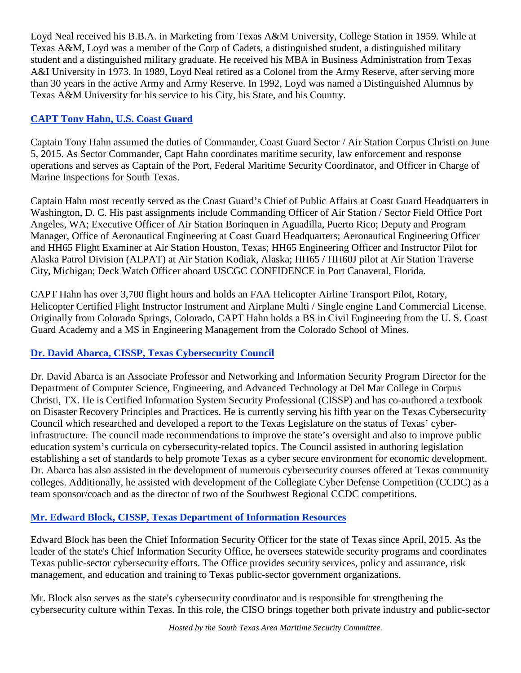Loyd Neal received his B.B.A. in Marketing from Texas A&M University, College Station in 1959. While at Texas A&M, Loyd was a member of the Corp of Cadets, a distinguished student, a distinguished military student and a distinguished military graduate. He received his MBA in Business Administration from Texas A&I University in 1973. In 1989, Loyd Neal retired as a Colonel from the Army Reserve, after serving more than 30 years in the active Army and Army Reserve. In 1992, Loyd was named a Distinguished Alumnus by Texas A&M University for his service to his City, his State, and his Country.

# **CAPT Tony Hahn, U.S. Coast Guard**

Captain Tony Hahn assumed the duties of Commander, Coast Guard Sector / Air Station Corpus Christi on June 5, 2015. As Sector Commander, Capt Hahn coordinates maritime security, law enforcement and response operations and serves as Captain of the Port, Federal Maritime Security Coordinator, and Officer in Charge of Marine Inspections for South Texas.

Captain Hahn most recently served as the Coast Guard's Chief of Public Affairs at Coast Guard Headquarters in Washington, D. C. His past assignments include Commanding Officer of Air Station / Sector Field Office Port Angeles, WA; Executive Officer of Air Station Borinquen in Aguadilla, Puerto Rico; Deputy and Program Manager, Office of Aeronautical Engineering at Coast Guard Headquarters; Aeronautical Engineering Officer and HH65 Flight Examiner at Air Station Houston, Texas; HH65 Engineering Officer and Instructor Pilot for Alaska Patrol Division (ALPAT) at Air Station Kodiak, Alaska; HH65 / HH60J pilot at Air Station Traverse City, Michigan; Deck Watch Officer aboard USCGC CONFIDENCE in Port Canaveral, Florida.

CAPT Hahn has over 3,700 flight hours and holds an FAA Helicopter Airline Transport Pilot, Rotary, Helicopter Certified Flight Instructor Instrument and Airplane Multi / Single engine Land Commercial License. Originally from Colorado Springs, Colorado, CAPT Hahn holds a BS in Civil Engineering from the U. S. Coast Guard Academy and a MS in Engineering Management from the Colorado School of Mines.

# **Dr. David Abarca, CISSP, Texas Cybersecurity Council**

Dr. David Abarca is an Associate Professor and Networking and Information Security Program Director for the Department of Computer Science, Engineering, and Advanced Technology at Del Mar College in Corpus Christi, TX. He is Certified Information System Security Professional (CISSP) and has co-authored a textbook on Disaster Recovery Principles and Practices. He is currently serving his fifth year on the Texas Cybersecurity Council which researched and developed a report to the Texas Legislature on the status of Texas' cyberinfrastructure. The council made recommendations to improve the state's oversight and also to improve public education system's curricula on cybersecurity-related topics. The Council assisted in authoring legislation establishing a set of standards to help promote Texas as a cyber secure environment for economic development. Dr. Abarca has also assisted in the development of numerous cybersecurity courses offered at Texas community colleges. Additionally, he assisted with development of the Collegiate Cyber Defense Competition (CCDC) as a team sponsor/coach and as the director of two of the Southwest Regional CCDC competitions.

# **Mr. Edward Block, CISSP, Texas Department of Information Resources**

Edward Block has been the Chief Information Security Officer for the state of Texas since April, 2015. As the leader of the state's Chief Information Security Office, he oversees statewide security programs and coordinates Texas public-sector cybersecurity efforts. The Office provides security services, policy and assurance, risk management, and education and training to Texas public-sector government organizations.

Mr. Block also serves as the state's cybersecurity coordinator and is responsible for strengthening the cybersecurity culture within Texas. In this role, the CISO brings together both private industry and public-sector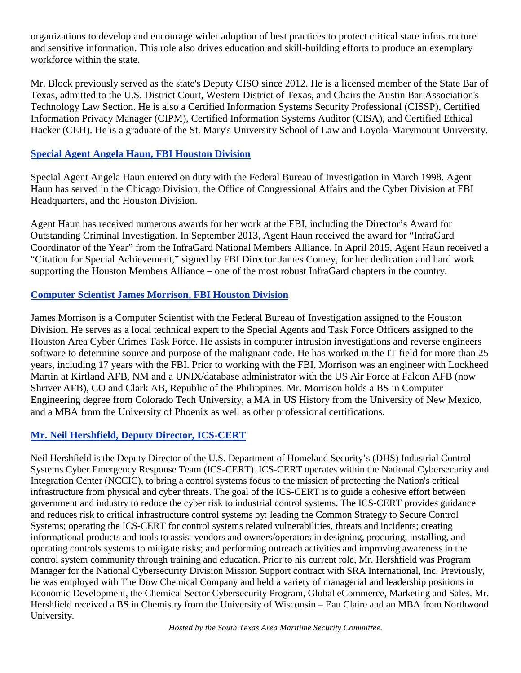organizations to develop and encourage wider adoption of best practices to protect critical state infrastructure and sensitive information. This role also drives education and skill-building efforts to produce an exemplary workforce within the state.

Mr. Block previously served as the state's Deputy CISO since 2012. He is a licensed member of the State Bar of Texas, admitted to the U.S. District Court, Western District of Texas, and Chairs the Austin Bar Association's Technology Law Section. He is also a Certified Information Systems Security Professional (CISSP), Certified Information Privacy Manager (CIPM), Certified Information Systems Auditor (CISA), and Certified Ethical Hacker (CEH). He is a graduate of the St. Mary's University School of Law and Loyola-Marymount University.

### **Special Agent Angela Haun, FBI Houston Division**

Special Agent Angela Haun entered on duty with the Federal Bureau of Investigation in March 1998. Agent Haun has served in the Chicago Division, the Office of Congressional Affairs and the Cyber Division at FBI Headquarters, and the Houston Division.

Agent Haun has received numerous awards for her work at the FBI, including the Director's Award for Outstanding Criminal Investigation. In September 2013, Agent Haun received the award for "InfraGard Coordinator of the Year" from the InfraGard National Members Alliance. In April 2015, Agent Haun received a "Citation for Special Achievement," signed by FBI Director James Comey, for her dedication and hard work supporting the Houston Members Alliance – one of the most robust InfraGard chapters in the country.

### **Computer Scientist James Morrison, FBI Houston Division**

James Morrison is a Computer Scientist with the Federal Bureau of Investigation assigned to the Houston Division. He serves as a local technical expert to the Special Agents and Task Force Officers assigned to the Houston Area Cyber Crimes Task Force. He assists in computer intrusion investigations and reverse engineers software to determine source and purpose of the malignant code. He has worked in the IT field for more than 25 years, including 17 years with the FBI. Prior to working with the FBI, Morrison was an engineer with Lockheed Martin at Kirtland AFB, NM and a UNIX/database administrator with the US Air Force at Falcon AFB (now Shriver AFB), CO and Clark AB, Republic of the Philippines. Mr. Morrison holds a BS in Computer Engineering degree from Colorado Tech University, a MA in US History from the University of New Mexico, and a MBA from the University of Phoenix as well as other professional certifications.

# **Mr. Neil Hershfield, Deputy Director, ICS-CERT**

Neil Hershfield is the Deputy Director of the U.S. Department of Homeland Security's (DHS) Industrial Control Systems Cyber Emergency Response Team (ICS-CERT). ICS-CERT operates within the National Cybersecurity and Integration Center (NCCIC), to bring a control systems focus to the mission of protecting the Nation's critical infrastructure from physical and cyber threats. The goal of the ICS-CERT is to guide a cohesive effort between government and industry to reduce the cyber risk to industrial control systems. The ICS-CERT provides guidance and reduces risk to critical infrastructure control systems by: leading the Common Strategy to Secure Control Systems; operating the ICS-CERT for control systems related vulnerabilities, threats and incidents; creating informational products and tools to assist vendors and owners/operators in designing, procuring, installing, and operating controls systems to mitigate risks; and performing outreach activities and improving awareness in the control system community through training and education. Prior to his current role, Mr. Hershfield was Program Manager for the National Cybersecurity Division Mission Support contract with SRA International, Inc. Previously, he was employed with The Dow Chemical Company and held a variety of managerial and leadership positions in Economic Development, the Chemical Sector Cybersecurity Program, Global eCommerce, Marketing and Sales. Mr. Hershfield received a BS in Chemistry from the University of Wisconsin – Eau Claire and an MBA from Northwood University.